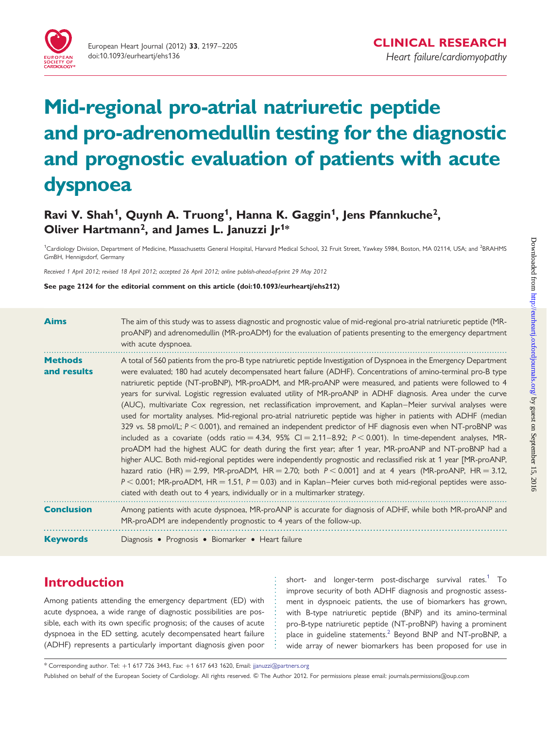

# Mid-regional pro-atrial natriuretic peptide and pro-adrenomedullin testing for the diagnostic and prognostic evaluation of patients with acute dyspnoea

## Ravi V. Shah<sup>1</sup>, Quynh A. Truong<sup>1</sup>, Hanna K. Gaggin<sup>1</sup>, Jens Pfannkuche<sup>2</sup>, Oliver Hartmann<sup>2</sup>, and James L. Januzzi Jr<sup>1\*</sup>

<sup>1</sup>Cardiology Division, Department of Medicine, Massachusetts General Hospital, Harvard Medical School, 32 Fruit Street, Yawkey 5984, Boston, MA 02114, USA; and <sup>2</sup>BRAHMS GmBH, Hennigsdorf, Germany

Received 1 April 2012; revised 18 April 2012; accepted 26 April 2012; online publish-ahead-of-print 29 May 2012

See page 2124 for the editorial comment on this article (doi:10.1093/eurheartj/ehs212)

| <b>Aims</b>                   | The aim of this study was to assess diagnostic and prognostic value of mid-regional pro-atrial natriuretic peptide (MR-<br>proANP) and adrenomedullin (MR-proADM) for the evaluation of patients presenting to the emergency department<br>with acute dyspnoea.                                                                                                                                                                                                                                                                                                                                                                                                                                                                                                                                                                                                                                                                                                                                                                                                                                                                                                                                                                                                                                                                                                                                                                                                                                   |
|-------------------------------|---------------------------------------------------------------------------------------------------------------------------------------------------------------------------------------------------------------------------------------------------------------------------------------------------------------------------------------------------------------------------------------------------------------------------------------------------------------------------------------------------------------------------------------------------------------------------------------------------------------------------------------------------------------------------------------------------------------------------------------------------------------------------------------------------------------------------------------------------------------------------------------------------------------------------------------------------------------------------------------------------------------------------------------------------------------------------------------------------------------------------------------------------------------------------------------------------------------------------------------------------------------------------------------------------------------------------------------------------------------------------------------------------------------------------------------------------------------------------------------------------|
| <b>Methods</b><br>and results | A total of 560 patients from the pro-B type natriuretic peptide Investigation of Dyspnoea in the Emergency Department<br>were evaluated; 180 had acutely decompensated heart failure (ADHF). Concentrations of amino-terminal pro-B type<br>natriuretic peptide (NT-proBNP), MR-proADM, and MR-proANP were measured, and patients were followed to 4<br>years for survival. Logistic regression evaluated utility of MR-proANP in ADHF diagnosis. Area under the curve<br>(AUC), multivariate Cox regression, net reclassification improvement, and Kaplan-Meier survival analyses were<br>used for mortality analyses. Mid-regional pro-atrial natriuretic peptide was higher in patients with ADHF (median<br>329 vs. 58 pmol/L; $P < 0.001$ ), and remained an independent predictor of HF diagnosis even when NT-proBNP was<br>included as a covariate (odds ratio = 4.34, 95% CI = 2.11-8.92; $P < 0.001$ ). In time-dependent analyses, MR-<br>proADM had the highest AUC for death during the first year; after 1 year, MR-proANP and NT-proBNP had a<br>higher AUC. Both mid-regional peptides were independently prognostic and reclassified risk at 1 year [MR-proANP,<br>hazard ratio (HR) = 2.99, MR-proADM, HR = 2.70; both $P < 0.001$ ] and at 4 years (MR-proANP, HR = 3.12,<br>$P < 0.001$ ; MR-proADM, HR = 1.51, $P = 0.03$ ) and in Kaplan–Meier curves both mid-regional peptides were asso-<br>ciated with death out to 4 years, individually or in a multimarker strategy. |
| <b>Conclusion</b>             | Among patients with acute dyspnoea, MR-proANP is accurate for diagnosis of ADHF, while both MR-proANP and<br>MR-proADM are independently prognostic to 4 years of the follow-up.                                                                                                                                                                                                                                                                                                                                                                                                                                                                                                                                                                                                                                                                                                                                                                                                                                                                                                                                                                                                                                                                                                                                                                                                                                                                                                                  |
| <b>Keywords</b>               | Diagnosis • Prognosis • Biomarker • Heart failure                                                                                                                                                                                                                                                                                                                                                                                                                                                                                                                                                                                                                                                                                                                                                                                                                                                                                                                                                                                                                                                                                                                                                                                                                                                                                                                                                                                                                                                 |

## Introduction

Among patients attending the emergency department (ED) with acute dyspnoea, a wide range of diagnostic possibilities are possible, each with its own specific prognosis; of the causes of acute dyspnoea in the ED setting, acutely decompensated heart failure (ADHF) represents a particularly important diagnosis given poor short- and longer-term post-discharge survival rates.<sup>1</sup> To improve security of both ADHF diagnosis and prognostic assessment in dyspnoeic patients, the use of biomarkers has grown, with B-type natriuretic peptide (BNP) and its amino-terminal pro-B-type natriuretic peptide (NT-proBNP) having a prominent place in guideline statements.<sup>[2](#page-7-0)</sup> Beyond BNP and NT-proBNP, a wide array of newer biomarkers has been proposed for use in

\* Corresponding author. Tel: +1 617 726 3443, Fax: +1 617 643 1620, Email: [jjanuzzi@partners.org](mailto:jjanuzzi@partners.org)

Published on behalf of the European Society of Cardiology. All rights reserved. © The Author 2012. For permissions please email: journals.permissions@oup.com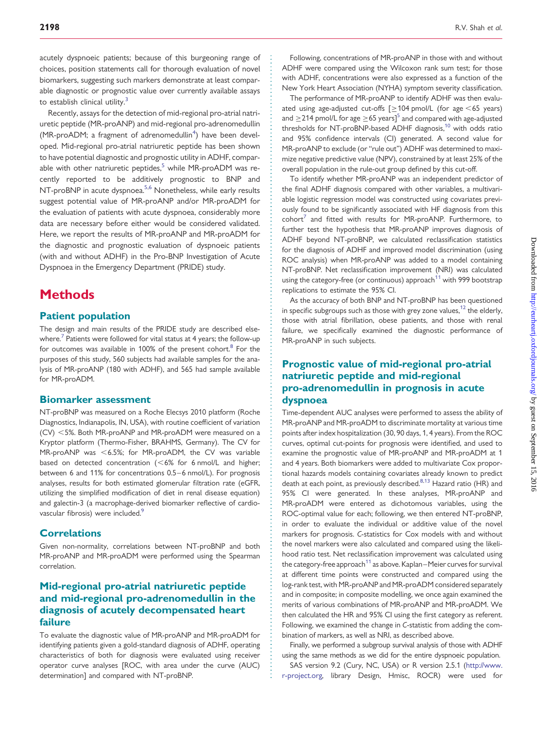acutely dyspnoeic patients; because of this burgeoning range of choices, position statements call for thorough evaluation of novel biomarkers, suggesting such markers demonstrate at least comparable diagnostic or prognostic value over currently available assays to establish clinical utility.<sup>3</sup>

Recently, assays for the detection of mid-regional pro-atrial natriuretic peptide (MR-proANP) and mid-regional pro-adrenomedullin  $(MR-proADM;$  a fragment of adrenomedullin<sup>[4](#page-7-0)</sup>) have been developed. Mid-regional pro-atrial natriuretic peptide has been shown to have potential diagnostic and prognostic utility in ADHF, comparable with other natriuretic peptides, $5$  while MR-proADM was recently reported to be additively prognostic to BNP and NT-proBNP in acute dyspnoea.<sup>5,[6](#page-8-0)</sup> Nonetheless, while early results suggest potential value of MR-proANP and/or MR-proADM for the evaluation of patients with acute dyspnoea, considerably more data are necessary before either would be considered validated. Here, we report the results of MR-proANP and MR-proADM for the diagnostic and prognostic evaluation of dyspnoeic patients (with and without ADHF) in the Pro-BNP Investigation of Acute Dyspnoea in the Emergency Department (PRIDE) study.

## **Methods**

#### Patient population

The design and main results of the PRIDE study are described else-where.<sup>[7](#page-8-0)</sup> Patients were followed for vital status at 4 years; the follow-up for outcomes was available in 100% of the present cohort.<sup>[8](#page-8-0)</sup> For the purposes of this study, 560 subjects had available samples for the analysis of MR-proANP (180 with ADHF), and 565 had sample available for MR-proADM.

#### Biomarker assessment

NT-proBNP was measured on a Roche Elecsys 2010 platform (Roche Diagnostics, Indianapolis, IN, USA), with routine coefficient of variation  $(CV) < 5%$ . Both MR-proANP and MR-proADM were measured on a Kryptor platform (Thermo-Fisher, BRAHMS, Germany). The CV for MR-proANP was  $<$  6.5%; for MR-proADM, the CV was variable based on detected concentration  $(<\,6\%$  for 6 nmol/L and higher; between 6 and 11% for concentrations 0.5–6 nmol/L). For prognosis analyses, results for both estimated glomerular filtration rate (eGFR, utilizing the simplified modification of diet in renal disease equation) and galectin-3 (a macrophage-derived biomarker reflective of cardio-vascular fibrosis) were included.<sup>[9](#page-8-0)</sup>

#### **Correlations**

Given non-normality, correlations between NT-proBNP and both MR-proANP and MR-proADM were performed using the Spearman correlation.

#### Mid-regional pro-atrial natriuretic peptide and mid-regional pro-adrenomedullin in the diagnosis of acutely decompensated heart failure

To evaluate the diagnostic value of MR-proANP and MR-proADM for identifying patients given a gold-standard diagnosis of ADHF, operating characteristics of both for diagnosis were evaluated using receiver operator curve analyses [ROC, with area under the curve (AUC) determination] and compared with NT-proBNP.

Following, concentrations of MR-proANP in those with and without ADHF were compared using the Wilcoxon rank sum test; for those with ADHF, concentrations were also expressed as a function of the New York Heart Association (NYHA) symptom severity classification.

The performance of MR-proANP to identify ADHF was then evaluated using age-adjusted cut-offs  $\lceil \geq 104 \text{ pmol/L} \rceil$  (for age <65 years) and  $\geq$  214 pmol/L for age  $\geq$  6[5](#page-7-0) years]<sup>5</sup> and compared with age-adjusted thresholds for NT-proBNP-based ADHF diagnosis, $10$  with odds ratio and 95% confidence intervals (CI) generated. A second value for MR-proANP to exclude (or ''rule out'') ADHF was determined to maximize negative predictive value (NPV), constrained by at least 25% of the overall population in the rule-out group defined by this cut-off.

To identify whether MR-proANP was an independent predictor of the final ADHF diagnosis compared with other variables, a multivariable logistic regression model was constructed using covariates previously found to be significantly associated with HF diagnosis from this  $\text{cohort}^7$  $\text{cohort}^7$  and fitted with results for MR-proANP. Furthermore, to further test the hypothesis that MR-proANP improves diagnosis of ADHF beyond NT-proBNP, we calculated reclassification statistics for the diagnosis of ADHF and improved model discrimination (using ROC analysis) when MR-proANP was added to a model containing NT-proBNP. Net reclassification improvement (NRI) was calculated using the category-free (or continuous) approach<sup>[11](#page-8-0)</sup> with 999 bootstrap replications to estimate the 95% CI.

As the accuracy of both BNP and NT-proBNP has been questioned in specific subgroups such as those with grey zone values, $12$  the elderly, those with atrial fibrillation, obese patients, and those with renal failure, we specifically examined the diagnostic performance of MR-proANP in such subjects.

#### Prognostic value of mid-regional pro-atrial natriuretic peptide and mid-regional pro-adrenomedullin in prognosis in acute dyspnoea

Time-dependent AUC analyses were performed to assess the ability of MR-proANP and MR-proADM to discriminate mortality at various time points after index hospitalization (30, 90 days, 1, 4 years). From the ROC curves, optimal cut-points for prognosis were identified, and used to examine the prognostic value of MR-proANP and MR-proADM at 1 and 4 years. Both biomarkers were added to multivariate Cox proportional hazards models containing covariates already known to predict death at each point, as previously described. $8,13$  Hazard ratio (HR) and 95% CI were generated. In these analyses, MR-proANP and MR-proADM were entered as dichotomous variables, using the ROC-optimal value for each; following, we then entered NT-proBNP, in order to evaluate the individual or additive value of the novel markers for prognosis. C-statistics for Cox models with and without the novel markers were also calculated and compared using the likelihood ratio test. Net reclassification improvement was calculated using the category-free approach<sup>11</sup> as above. Kaplan–Meier curves for survival at different time points were constructed and compared using the log-rank test, with MR-proANP and MR-proADM considered separately and in composite; in composite modelling, we once again examined the merits of various combinations of MR-proANP and MR-proADM. We then calculated the HR and 95% CI using the first category as referent. Following, we examined the change in C-statistic from adding the combination of markers, as well as NRI, as described above.

Finally, we performed a subgroup survival analysis of those with ADHF using the same methods as we did for the entire dyspnoeic population.

SAS version 9.2 (Cury, NC, USA) or R version 2.5.1 ([http://www.](http://www.r-project.org) [r-project.org,](http://www.r-project.org) library Design, Hmisc, ROCR) were used for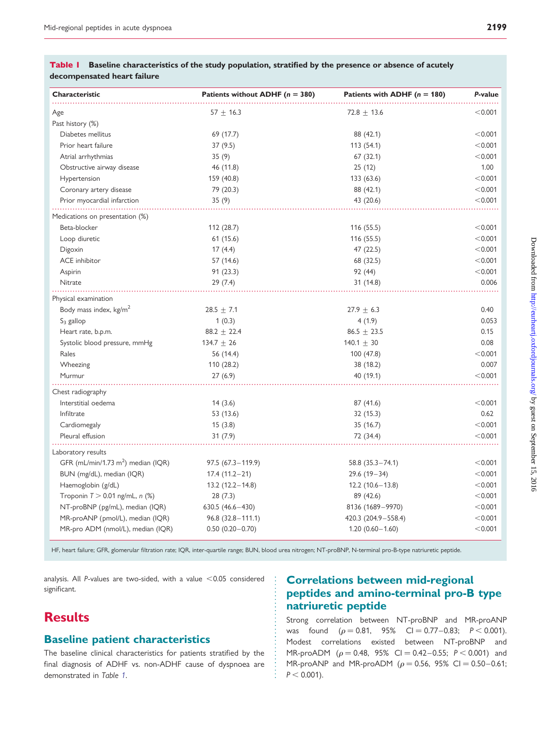| Characteristic                                 | Patients without ADHF ( $n = 380$ ) | Patients with ADHF $(n = 180)$ | P-value |
|------------------------------------------------|-------------------------------------|--------------------------------|---------|
| Age                                            | $57 + 16.3$                         | $72.8 \pm 13.6$                | < 0.001 |
| Past history (%)                               |                                     |                                |         |
| Diabetes mellitus                              | 69 (17.7)                           | 88 (42.1)                      | < 0.001 |
| Prior heart failure                            | 37(9.5)                             | 113(54.1)                      | < 0.001 |
| Atrial arrhythmias                             | 35(9)                               | 67(32.1)                       | < 0.001 |
| Obstructive airway disease                     | 46 (11.8)                           | 25(12)                         | 1.00    |
| Hypertension                                   | 159 (40.8)                          | 133 (63.6)                     | < 0.001 |
| Coronary artery disease                        | 79 (20.3)                           | 88 (42.1)                      | < 0.001 |
| Prior myocardial infarction                    | 35(9)                               | 43 (20.6)                      | < 0.001 |
| Medications on presentation (%)                |                                     |                                |         |
| Beta-blocker                                   | 112 (28.7)                          | 116 (55.5)                     | < 0.001 |
| Loop diuretic                                  | 61(15.6)                            | 116(55.5)                      | < 0.001 |
| Digoxin                                        | 17(4.4)                             | 47 (22.5)                      | < 0.001 |
| <b>ACE</b> inhibitor                           | 57 (14.6)                           | 68 (32.5)                      | < 0.001 |
| Aspirin                                        | 91(23.3)                            | 92 (44)                        | < 0.001 |
| Nitrate                                        | 29(7.4)                             | 31 (14.8)                      | 0.006   |
| Physical examination                           |                                     |                                |         |
| Body mass index, kg/m <sup>2</sup>             | $28.5 \pm 7.1$                      | $27.9 \pm 6.3$                 | 0.40    |
| $S_3$ gallop                                   | 1(0.3)                              | 4(1.9)                         | 0.053   |
| Heart rate, b.p.m.                             | $88.2 \pm 22.4$                     | $86.5 \pm 23.5$                | 0.15    |
| Systolic blood pressure, mmHg                  | $134.7 \pm 26$                      | 140.1 $\pm$ 30                 | 0.08    |
| Rales                                          | 56 (14.4)                           | 100 (47.8)                     | < 0.001 |
| Wheezing                                       | 110 (28.2)                          | 38 (18.2)                      | 0.007   |
| Murmur                                         | 27(6.9)                             | 40 (19.1)                      | < 0.001 |
| Chest radiography                              |                                     |                                |         |
| Interstitial oedema                            | 14(3.6)                             | 87 (41.6)                      | < 0.001 |
| Infiltrate                                     | 53 (13.6)                           | 32 (15.3)                      | 0.62    |
| Cardiomegaly                                   | 15(3.8)                             | 35 (16.7)                      | < 0.001 |
| Pleural effusion                               | 31(7.9)                             | 72 (34.4)                      | < 0.001 |
| Laboratory results                             |                                     |                                |         |
| GFR (mL/min/1.73 m <sup>2</sup> ) median (IQR) | $97.5(67.3 - 119.9)$                | $58.8(35.3 - 74.1)$            | < 0.001 |
| BUN (mg/dL), median (IQR)                      | $17.4(11.2-21)$                     | $29.6(19-34)$                  | < 0.001 |
| Haemoglobin (g/dL)                             | $13.2(12.2 - 14.8)$                 | $12.2(10.6 - 13.8)$            | < 0.001 |
| Troponin $T > 0.01$ ng/mL, n (%)               | 28(7.3)                             | 89 (42.6)                      | < 0.001 |
| NT-proBNP (pg/mL), median (IQR)                | 630.5 (46.6-430)                    | 8136 (1689-9970)               | < 0.001 |
| MR-proANP (pmol/L), median (IQR)               | $96.8(32.8 - 111.1)$                | 420.3 (204.9-558.4)            | < 0.001 |
| MR-pro ADM (nmol/L), median (IQR)              | $0.50(0.20 - 0.70)$                 | $1.20(0.60 - 1.60)$            | < 0.001 |

#### Table I Baseline characteristics of the study population, stratified by the presence or absence of acutely decompensated heart failure

HF, heart failure; GFR, glomerular filtration rate; IQR, inter-quartile range; BUN, blood urea nitrogen; NT-proBNP, N-terminal pro-B-type natriuretic peptide.

analysis. All P-values are two-sided, with a value  $<$  0.05 considered significant.

# **Results**

#### Baseline patient characteristics

The baseline clinical characteristics for patients stratified by the final diagnosis of ADHF vs. non-ADHF cause of dyspnoea are demonstrated in Table 1.

## Correlations between mid-regional peptides and amino-terminal pro-B type natriuretic peptide

Strong correlation between NT-proBNP and MR-proANP was found  $(\rho = 0.81, 95\% \text{ Cl} = 0.77-0.83; P < 0.001).$ Modest correlations existed between NT-proBNP and MR-proADM ( $\rho = 0.48$ , 95% CI = 0.42 – 0.55; P < 0.001) and MR-proANP and MR-proADM ( $\rho = 0.56$ , 95% CI = 0.50 – 0.61;  $P < 0.001$ ).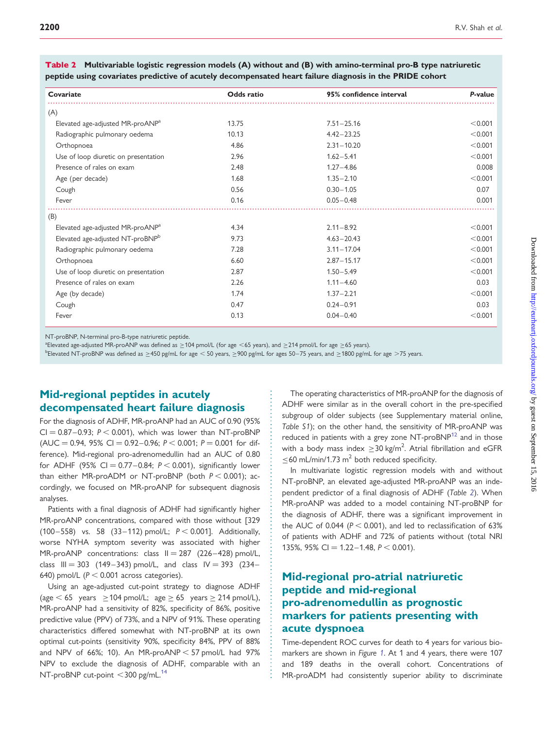| Covariate                                    | <b>Odds</b> ratio | 95% confidence interval | P-value |
|----------------------------------------------|-------------------|-------------------------|---------|
| (A)                                          |                   |                         |         |
| Elevated age-adjusted MR-proANP <sup>a</sup> | 13.75             | $7.51 - 25.16$          | < 0.001 |
| Radiographic pulmonary oedema                | 10.13             | $4.42 - 23.25$          | < 0.001 |
| Orthopnoea                                   | 4.86              | $2.31 - 10.20$          | < 0.001 |
| Use of loop diuretic on presentation         | 2.96              | $1.62 - 5.41$           | < 0.001 |
| Presence of rales on exam                    | 2.48              | $1.27 - 4.86$           | 0.008   |
| Age (per decade)                             | 1.68              | $1.35 - 2.10$           | < 0.001 |
| Cough                                        | 0.56              | $0.30 - 1.05$           | 0.07    |
| Fever                                        | 0.16              | $0.05 - 0.48$           | 0.001   |
| (B)                                          |                   |                         |         |
| Elevated age-adjusted MR-proANP <sup>a</sup> | 4.34              | $2.11 - 8.92$           | < 0.001 |
| Elevated age-adjusted NT-proBNP <sup>b</sup> | 9.73              | $4.63 - 20.43$          | < 0.001 |
| Radiographic pulmonary oedema                | 7.28              | $3.11 - 17.04$          | < 0.001 |
| Orthopnoea                                   | 6.60              | $2.87 - 15.17$          | < 0.001 |
| Use of loop diuretic on presentation         | 2.87              | $1.50 - 5.49$           | < 0.001 |
| Presence of rales on exam                    | 2.26              | $1.11 - 4.60$           | 0.03    |
| Age (by decade)                              | 1.74              | $1.37 - 2.21$           | < 0.001 |
| Cough                                        | 0.47              | $0.24 - 0.91$           | 0.03    |
| Fever                                        | 0.13              | $0.04 - 0.40$           | < 0.001 |

Table 2 Multivariable logistic regression models (A) without and (B) with amino-terminal pro-B type natriuretic peptide using covariates predictive of acutely decompensated heart failure diagnosis in the PRIDE cohort

NT-proBNP, N-terminal pro-B-type natriuretic peptide.

<sup>a</sup>Elevated age-adjusted MR-proANP was defined as ≥104 pmol/L (for age <65 years), and ≥214 pmol/L for age ≥65 years).<br>PElevated NT proBNP was defined as ≥450 palmL for age ≤ 50 years. ≥900 palmL for ages 50–75 years and

<sup>b</sup>Elevated NT-proBNP was defined as ≥450 pg/mL for age < 50 years, ≥900 pg/mL for ages 50–75 years, and ≥1800 pg/mL for age >75 years.

## Mid-regional peptides in acutely decompensated heart failure diagnosis

For the diagnosis of ADHF, MR-proANP had an AUC of 0.90 (95%  $CI = 0.87-0.93$ ;  $P < 0.001$ ), which was lower than NT-proBNP  $(AUC = 0.94, 95\% CI = 0.92 - 0.96; P < 0.001; P = 0.001$  for difference). Mid-regional pro-adrenomedullin had an AUC of 0.80 for ADHF (95% CI = 0.77-0.84;  $P < 0.001$ ), significantly lower than either MR-proADM or NT-proBNP (both  $P < 0.001$ ); accordingly, we focused on MR-proANP for subsequent diagnosis analyses.

Patients with a final diagnosis of ADHF had significantly higher MR-proANP concentrations, compared with those without [329 (100 – 558) vs. 58 (33 – 112) pmol/L;  $P < 0.001$ ]. Additionally, worse NYHA symptom severity was associated with higher MR-proANP concentrations: class  $II = 287$  (226-428) pmol/L, class  $III = 303$  (149-343) pmol/L, and class  $IV = 393$  (234-640) pmol/L ( $P < 0.001$  across categories).

Using an age-adjusted cut-point strategy to diagnose ADHF (age  $<$  65 years  $\ge$  104 pmol/L; age  $\ge$  65 years  $\ge$  214 pmol/L), MR-proANP had a sensitivity of 82%, specificity of 86%, positive predictive value (PPV) of 73%, and a NPV of 91%. These operating characteristics differed somewhat with NT-proBNP at its own optimal cut-points (sensitivity 90%, specificity 84%, PPV of 88% and NPV of 66%; 10). An MR-proANP  $<$  57 pmol/L had 97% NPV to exclude the diagnosis of ADHF, comparable with an NT-proBNP cut-point  $<$  300 pg/mL.<sup>[14](#page-8-0)</sup>

The operating characteristics of MR-proANP for the diagnosis of ADHF were similar as in the overall cohort in the pre-specified subgroup of older subjects (see [Supplementary material online,](http://eurheartj.oxfordjournals.org/lookup/suppl/doi:10.1093/eurheartj/ehs136/-/DC1) [Table S1](http://eurheartj.oxfordjournals.org/lookup/suppl/doi:10.1093/eurheartj/ehs136/-/DC1)); on the other hand, the sensitivity of MR-proANP was reduced in patients with a grey zone  $NT$ -pro $BNP<sup>12</sup>$  and in those with a body mass index  $\geq$  30 kg/m<sup>2</sup>. Atrial fibrillation and eGFR  $<$  60 mL/min/1.73 m<sup>2</sup> both reduced specificity.

In multivariate logistic regression models with and without NT-proBNP, an elevated age-adjusted MR-proANP was an independent predictor of a final diagnosis of ADHF (Table 2). When MR-proANP was added to a model containing NT-proBNP for the diagnosis of ADHF, there was a significant improvement in the AUC of 0.044 ( $P < 0.001$ ), and led to reclassification of 63% of patients with ADHF and 72% of patients without (total NRI 135%, 95% CI = 1.22–1.48,  $P < 0.001$ ).

## Mid-regional pro-atrial natriuretic peptide and mid-regional pro-adrenomedullin as prognostic markers for patients presenting with acute dyspnoea

Time-dependent ROC curves for death to 4 years for various biomarkers are shown in Figure [1](#page-4-0). At 1 and 4 years, there were 107 and 189 deaths in the overall cohort. Concentrations of MR-proADM had consistently superior ability to discriminate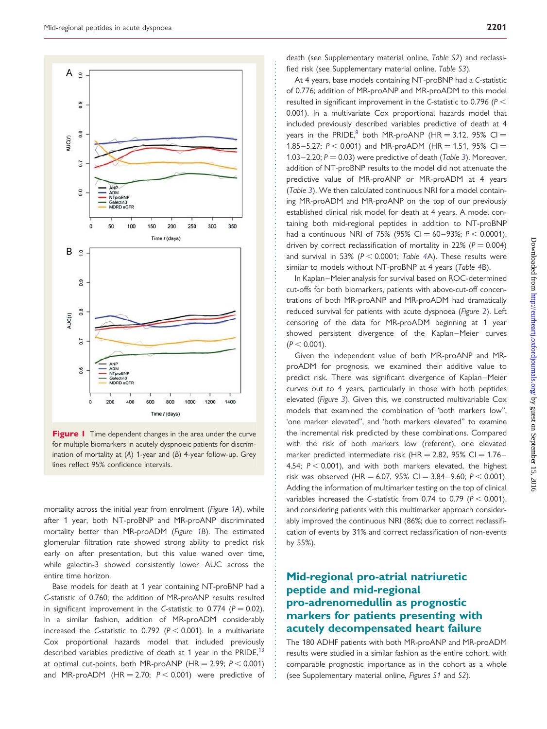<span id="page-4-0"></span>

Figure 1 Time dependent changes in the area under the curve for multiple biomarkers in acutely dyspnoeic patients for discrimination of mortality at (A) 1-year and (B) 4-year follow-up. Grey lines reflect 95% confidence intervals.

mortality across the initial year from enrolment (Figure 1A), while after 1 year, both NT-proBNP and MR-proANP discriminated mortality better than MR-proADM (Figure 1B). The estimated glomerular filtration rate showed strong ability to predict risk early on after presentation, but this value waned over time, while galectin-3 showed consistently lower AUC across the entire time horizon.

Base models for death at 1 year containing NT-proBNP had a C-statistic of 0.760; the addition of MR-proANP results resulted in significant improvement in the C-statistic to 0.774 ( $P = 0.02$ ). In a similar fashion, addition of MR-proADM considerably increased the C-statistic to 0.792 ( $P < 0.001$ ). In a multivariate Cox proportional hazards model that included previously described variables predictive of death at 1 year in the PRIDE,<sup>[13](#page-8-0)</sup> at optimal cut-points, both MR-proANP (HR = 2.99;  $P < 0.001$ ) and MR-proADM (HR  $=$  2.70;  $P < 0.001$ ) were predictive of

death (see [Supplementary material online,](http://eurheartj.oxfordjournals.org/lookup/suppl/doi:10.1093/eurheartj/ehs136/-/DC1) [Table S2](http://eurheartj.oxfordjournals.org/lookup/suppl/doi:10.1093/eurheartj/ehs136/-/DC1)) and reclassified risk (see [Supplementary material online,](http://eurheartj.oxfordjournals.org/lookup/suppl/doi:10.1093/eurheartj/ehs136/-/DC1) Table S3).

At 4 years, base models containing NT-proBNP had a C-statistic of 0.776; addition of MR-proANP and MR-proADM to this model resulted in significant improvement in the C-statistic to 0.796 ( $P <$ 0.001). In a multivariate Cox proportional hazards model that included previously described variables predictive of death at 4 years in the PRIDE,<sup>8</sup> both MR-proANP (HR = 3.12, 95% CI = 1.85 – 5.27;  $P < 0.001$ ) and MR-proADM (HR = 1.51, 95% CI = 1.0[3](#page-5-0) – 2.20;  $P = 0.03$ ) were predictive of death (Table 3). Moreover, addition of NT-proBNP results to the model did not attenuate the predictive value of MR-proANP or MR-proADM at 4 years (Table [3](#page-5-0)). We then calculated continuous NRI for a model containing MR-proADM and MR-proANP on the top of our previously established clinical risk model for death at 4 years. A model containing both mid-regional peptides in addition to NT-proBNP had a continuous NRI of 75% (95% CI = 60-93%;  $P < 0.0001$ ), driven by correct reclassification of mortality in 22% ( $P = 0.004$ ) and survival in 53% ( $P < 0.0001$ ; Table [4](#page-5-0)A). These results were similar to models without NT-proBNP at 4 years (Table [4](#page-5-0)B).

In Kaplan –Meier analysis for survival based on ROC-determined cut-offs for both biomarkers, patients with above-cut-off concentrations of both MR-proANP and MR-proADM had dramatically reduced survival for patients with acute dyspnoea (Figure [2](#page-6-0)). Left censoring of the data for MR-proADM beginning at 1 year showed persistent divergence of the Kaplan-Meier curves  $(P < 0.001)$ .

Given the independent value of both MR-proANP and MRproADM for prognosis, we examined their additive value to predict risk. There was significant divergence of Kaplan –Meier curves out to 4 years, particularly in those with both peptides elevated (Figure [3](#page-7-0)). Given this, we constructed multivariable Cox models that examined the combination of 'both markers low'', 'one marker elevated'', and 'both markers elevated'' to examine the incremental risk predicted by these combinations. Compared with the risk of both markers low (referent), one elevated marker predicted intermediate risk (HR = 2.82, 95% CI =  $1.76-$ 4.54;  $P < 0.001$ ), and with both markers elevated, the highest risk was observed (HR = 6.07, 95% CI = 3.84 – 9.60;  $P < 0.001$ ). Adding the information of multimarker testing on the top of clinical variables increased the C-statistic from 0.74 to 0.79 ( $P < 0.001$ ), and considering patients with this multimarker approach considerably improved the continuous NRI (86%; due to correct reclassification of events by 31% and correct reclassification of non-events by 55%).

### Mid-regional pro-atrial natriuretic peptide and mid-regional pro-adrenomedullin as prognostic markers for patients presenting with acutely decompensated heart failure

The 180 ADHF patients with both MR-proANP and MR-proADM results were studied in a similar fashion as the entire cohort, with comparable prognostic importance as in the cohort as a whole (see [Supplementary material online,](http://eurheartj.oxfordjournals.org/lookup/suppl/doi:10.1093/eurheartj/ehs136/-/DC1) [Figures S1](http://eurheartj.oxfordjournals.org/lookup/suppl/doi:10.1093/eurheartj/ehs136/-/DC1) and S2).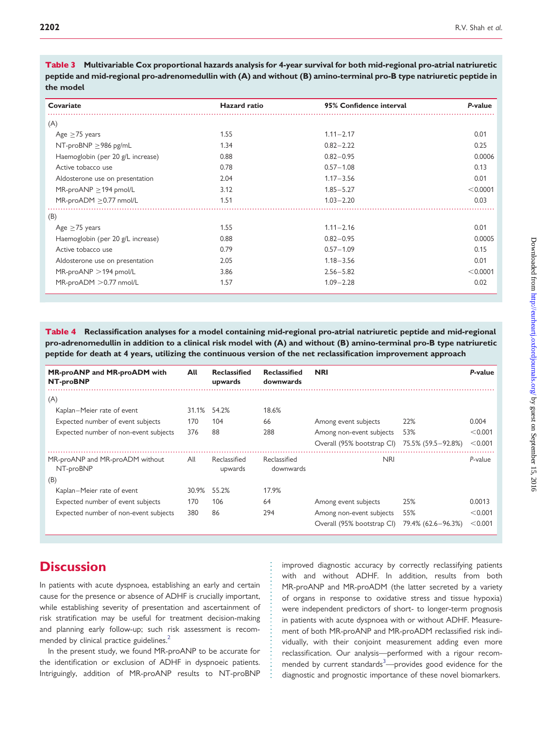<span id="page-5-0"></span>Table 3 Multivariable Cox proportional hazards analysis for 4-year survival for both mid-regional pro-atrial natriuretic peptide and mid-regional pro-adrenomedullin with (A) and without (B) amino-terminal pro-B type natriuretic peptide in the model

| Covariate                         | <b>Hazard</b> ratio | 95% Confidence interval | P-value  |
|-----------------------------------|---------------------|-------------------------|----------|
| (A)                               |                     |                         |          |
| Age $\geq$ 75 years               | 1.55                | $1.11 - 2.17$           | 0.01     |
| NT-proBNP $\geq$ 986 pg/mL        | 1.34                | $0.82 - 2.22$           | 0.25     |
| Haemoglobin (per 20 g/L increase) | 0.88                | $0.82 - 0.95$           | 0.0006   |
| Active tobacco use                | 0.78                | $0.57 - 1.08$           | 0.13     |
| Aldosterone use on presentation   | 2.04                | $1.17 - 3.56$           | 0.01     |
| MR-proANP $\geq$ 194 pmol/L       | 3.12                | $1.85 - 5.27$           | < 0.0001 |
| MR-proADM ≥0.77 nmol/L            | 1.51                | $1.03 - 2.20$           | 0.03     |
| (B)                               |                     |                         |          |
| Age $\geq$ 75 years               | 1.55                | $1.11 - 2.16$           | 0.01     |
| Haemoglobin (per 20 g/L increase) | 0.88                | $0.82 - 0.95$           | 0.0005   |
| Active tobacco use                | 0.79                | $0.57 - 1.09$           | 0.15     |
| Aldosterone use on presentation   | 2.05                | $1.18 - 3.56$           | 0.01     |
| $MR-proAMP > 194$ pmol/L          | 3.86                | $2.56 - 5.82$           | < 0.0001 |
| MR-proADM > 0.77 nmol/L           | 1.57                | $1.09 - 2.28$           | 0.02     |

Table 4 Reclassification analyses for a model containing mid-regional pro-atrial natriuretic peptide and mid-regional pro-adrenomedullin in addition to a clinical risk model with (A) and without (B) amino-terminal pro-B type natriuretic peptide for death at 4 years, utilizing the continuous version of the net reclassification improvement approach

| MR-proANP and MR-proADM with<br>NT-proBNP    | All   | <b>Reclassified</b><br>upwards | <b>Reclassified</b><br>downwards | <b>NRI</b>                 |                      | P-value |
|----------------------------------------------|-------|--------------------------------|----------------------------------|----------------------------|----------------------|---------|
| (A)                                          |       |                                |                                  |                            |                      |         |
| Kaplan-Meier rate of event                   | 31.1% | 54.2%                          | 18.6%                            |                            |                      |         |
| Expected number of event subjects            | 170   | 104                            | 66                               | Among event subjects       | 22%                  | 0.004   |
| Expected number of non-event subjects        | 376   | 88                             | 288                              | Among non-event subjects   | 53%                  | < 0.001 |
|                                              |       |                                |                                  | Overall (95% bootstrap CI) | 75.5% (59.5 - 92.8%) | < 0.001 |
| MR-proANP and MR-proADM without<br>NT-proBNP | All   | Reclassified<br>upwards        | Reclassified<br>downwards        | <b>NRI</b>                 |                      | P-value |
| (B)                                          |       |                                |                                  |                            |                      |         |
| Kaplan–Meier rate of event                   | 30.9% | 55.2%                          | 17.9%                            |                            |                      |         |
| Expected number of event subjects            | 170   | 106                            | 64                               | Among event subjects       | 25%                  | 0.0013  |
| Expected number of non-event subjects        | 380   | 86                             | 294                              | Among non-event subjects   | 55%                  | < 0.001 |
|                                              |       |                                |                                  | Overall (95% bootstrap CI) | 79.4% (62.6–96.3%)   | < 0.001 |

## **Discussion**

In patients with acute dyspnoea, establishing an early and certain cause for the presence or absence of ADHF is crucially important, while establishing severity of presentation and ascertainment of risk stratification may be useful for treatment decision-making and planning early follow-up; such risk assessment is recommended by clinical practice guidelines.<sup>2</sup>

In the present study, we found MR-proANP to be accurate for the identification or exclusion of ADHF in dyspnoeic patients. Intriguingly, addition of MR-proANP results to NT-proBNP improved diagnostic accuracy by correctly reclassifying patients with and without ADHF. In addition, results from both MR-proANP and MR-proADM (the latter secreted by a variety of organs in response to oxidative stress and tissue hypoxia) were independent predictors of short- to longer-term prognosis in patients with acute dyspnoea with or without ADHF. Measurement of both MR-proANP and MR-proADM reclassified risk individually, with their conjoint measurement adding even more reclassification. Our analysis—performed with a rigour recom-mended by current standards<sup>[3](#page-7-0)</sup>—provides good evidence for the diagnostic and prognostic importance of these novel biomarkers.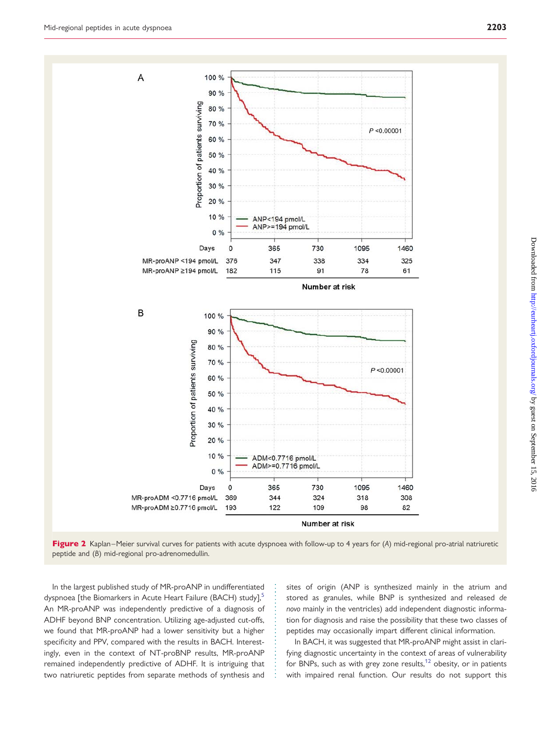<span id="page-6-0"></span>

Figure 2 Kaplan–Meier survival curves for patients with acute dyspnoea with follow-up to 4 years for (A) mid-regional pro-atrial natriuretic peptide and (B) mid-regional pro-adrenomedullin.

In the largest published study of MR-proANP in undifferentiated dyspnoea [the Biomarkers in Acute Heart Failure (BACH) study],<sup>[5](#page-7-0)</sup> An MR-proANP was independently predictive of a diagnosis of ADHF beyond BNP concentration. Utilizing age-adjusted cut-offs, we found that MR-proANP had a lower sensitivity but a higher specificity and PPV, compared with the results in BACH. Interestingly, even in the context of NT-proBNP results, MR-proANP remained independently predictive of ADHF. It is intriguing that two natriuretic peptides from separate methods of synthesis and

sites of origin (ANP is synthesized mainly in the atrium and stored as granules, while BNP is synthesized and released de novo mainly in the ventricles) add independent diagnostic information for diagnosis and raise the possibility that these two classes of peptides may occasionally impart different clinical information.

In BACH, it was suggested that MR-proANP might assist in clarifying diagnostic uncertainty in the context of areas of vulnerability for BNPs, such as with grey zone results, $12$  obesity, or in patients with impaired renal function. Our results do not support this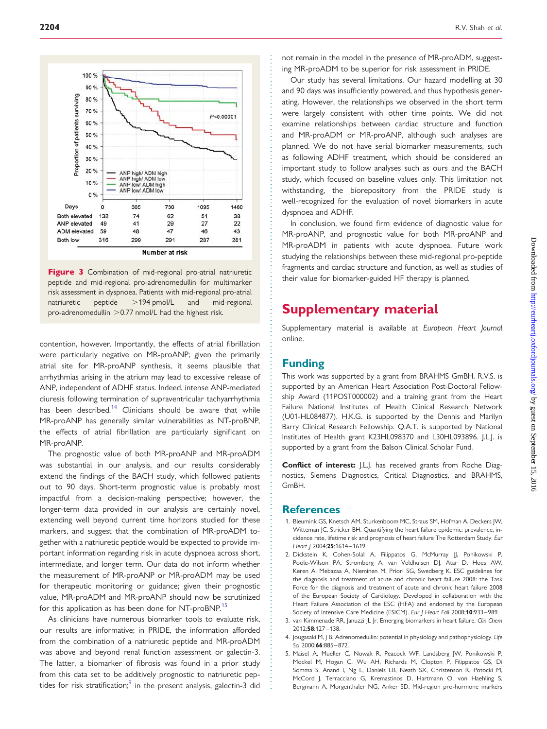<span id="page-7-0"></span>

Figure 3 Combination of mid-regional pro-atrial natriuretic peptide and mid-regional pro-adrenomedullin for multimarker risk assessment in dyspnoea. Patients with mid-regional pro-atrial natriuretic peptide >194 pmol/L and mid-regional pro-adrenomedullin  $>$  0.77 nmol/L had the highest risk.

contention, however. Importantly, the effects of atrial fibrillation were particularly negative on MR-proANP; given the primarily atrial site for MR-proANP synthesis, it seems plausible that arrhythmias arising in the atrium may lead to excessive release of ANP, independent of ADHF status. Indeed, intense ANP-mediated diuresis following termination of supraventricular tachyarrhythmia has been described.<sup>[14](#page-8-0)</sup> Clinicians should be aware that while MR-proANP has generally similar vulnerabilities as NT-proBNP, the effects of atrial fibrillation are particularly significant on MR-proANP.

The prognostic value of both MR-proANP and MR-proADM was substantial in our analysis, and our results considerably extend the findings of the BACH study, which followed patients out to 90 days. Short-term prognostic value is probably most impactful from a decision-making perspective; however, the longer-term data provided in our analysis are certainly novel, extending well beyond current time horizons studied for these markers, and suggest that the combination of MR-proADM together with a natriuretic peptide would be expected to provide important information regarding risk in acute dyspnoea across short, intermediate, and longer term. Our data do not inform whether the measurement of MR-proANP or MR-proADM may be used for therapeutic monitoring or guidance; given their prognostic value, MR-proADM and MR-proANP should now be scrutinized for this application as has been done for NT-proBNP.<sup>[15](#page-8-0)</sup>

As clinicians have numerous biomarker tools to evaluate risk, our results are informative; in PRIDE, the information afforded from the combination of a natriuretic peptide and MR-proADM was above and beyond renal function assessment or galectin-3. The latter, a biomarker of fibrosis was found in a prior study from this data set to be additively prognostic to natriuretic pep-tides for risk stratification;<sup>[9](#page-8-0)</sup> in the present analysis, galectin-3 did

not remain in the model in the presence of MR-proADM, suggesting MR-proADM to be superior for risk assessment in PRIDE.

Our study has several limitations. Our hazard modelling at 30 and 90 days was insufficiently powered, and thus hypothesis generating. However, the relationships we observed in the short term were largely consistent with other time points. We did not examine relationships between cardiac structure and function and MR-proADM or MR-proANP, although such analyses are planned. We do not have serial biomarker measurements, such as following ADHF treatment, which should be considered an important study to follow analyses such as ours and the BACH study, which focused on baseline values only. This limitation not withstanding, the biorepository from the PRIDE study is well-recognized for the evaluation of novel biomarkers in acute dyspnoea and ADHF.

In conclusion, we found firm evidence of diagnostic value for MR-proANP, and prognostic value for both MR-proANP and MR-proADM in patients with acute dyspnoea. Future work studying the relationships between these mid-regional pro-peptide fragments and cardiac structure and function, as well as studies of their value for biomarker-guided HF therapy is planned.

## Supplementary material

[Supplementary material is available at](http://eurheartj.oxfordjournals.org/lookup/suppl/doi:10.1093/eurheartj/ehs136/-/DC1) European Heart Journal [online](http://eurheartj.oxfordjournals.org/lookup/suppl/doi:10.1093/eurheartj/ehs136/-/DC1).

#### Funding

This work was supported by a grant from BRAHMS GmBH. R.V.S. is supported by an American Heart Association Post-Doctoral Fellowship Award (11POST000002) and a training grant from the Heart Failure National Institutes of Health Clinical Research Network (U01-HL084877). H.K.G. is supported by the Dennis and Marilyn Barry Clinical Research Fellowship. Q.A.T. is supported by National Institutes of Health grant K23HL098370 and L30HL093896. J.L.J. is supported by a grant from the Balson Clinical Scholar Fund.

Conflict of interest: J.L.J. has received grants from Roche Diagnostics, Siemens Diagnostics, Critical Diagnostics, and BRAHMS, GmBH.

#### **References**

- 1. Bleumink GS, Knetsch AM, Sturkenboom MC, Straus SM, Hofman A, Deckers JW, Witteman JC, Stricker BH. Quantifying the heart failure epidemic: prevalence, incidence rate, lifetime risk and prognosis of heart failure The Rotterdam Study. Eur Heart | 2004;25:1614-1619.
- 2. Dickstein K, Cohen-Solal A, Filippatos G, McMurray JJ, Ponikowski P, Poole-Wilson PA, Stromberg A, van Veldhuisen DJ, Atar D, Hoes AW, Keren A, Mebazaa A, Nieminen M, Priori SG, Swedberg K. ESC guidelines for the diagnosis and treatment of acute and chronic heart failure 2008: the Task Force for the diagnosis and treatment of acute and chronic heart failure 2008 of the European Society of Cardiology. Developed in collaboration with the Heart Failure Association of the ESC (HFA) and endorsed by the European Society of Intensive Care Medicine (ESICM). Eur J Heart Fail 2008;10:933-989.
- 3. van Kimmenade RR, Januzzi JL Jr. Emerging biomarkers in heart failure. Clin Chem 2012;58:127 –138.
- 4. Jougasaki M, J B. Adrenomedullin: potential in physiology and pathophysiology. Life Sci 2000;66:885–872.
- 5. Maisel A, Mueller C, Nowak R, Peacock WF, Landsberg JW, Ponikowski P, Mockel M, Hogan C, Wu AH, Richards M, Clopton P, Filippatos GS, Di Somma S, Anand I, Ng L, Daniels LB, Neath SX, Christenson R, Potocki M, McCord J, Terracciano G, Kremastinos D, Hartmann O, von Haehling S, Bergmann A, Morgenthaler NG, Anker SD. Mid-region pro-hormone markers